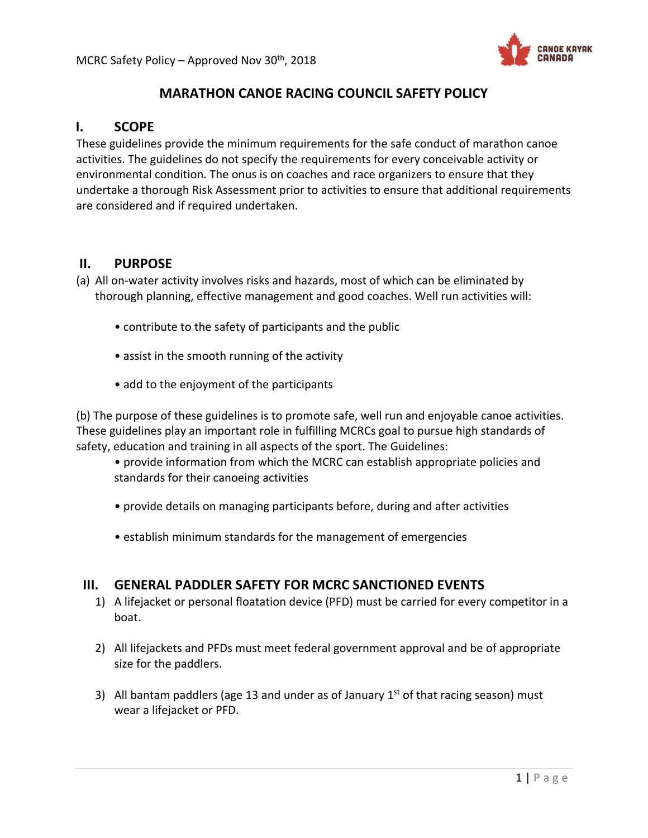

# **MARATHON CANOE RACING COUNCIL SAFETY POLICY**

## **I. SCOPE**

These guidelines provide the minimum requirements for the safe conduct of marathon canoe activities. The guidelines do not specify the requirements for every conceivable activity or environmental condition. The onus is on coaches and race organizers to ensure that they undertake a thorough Risk Assessment prior to activities to ensure that additional requirements are considered and if required undertaken.

## **II. PURPOSE**

- (a) All on‐water activity involves risks and hazards, most of which can be eliminated by thorough planning, effective management and good coaches. Well run activities will:
	- contribute to the safety of participants and the public
	- assist in the smooth running of the activity
	- add to the enjoyment of the participants

(b) The purpose of these guidelines is to promote safe, well run and enjoyable canoe activities. These guidelines play an important role in fulfilling MCRCs goal to pursue high standards of safety, education and training in all aspects of the sport. The Guidelines:

• provide information from which the MCRC can establish appropriate policies and standards for their canoeing activities

- provide details on managing participants before, during and after activities
- establish minimum standards for the management of emergencies

## **III. GENERAL PADDLER SAFETY FOR MCRC SANCTIONED EVENTS**

- 1) A lifejacket or personal floatation device (PFD) must be carried for every competitor in a boat.
- 2) All lifejackets and PFDs must meet federal government approval and be of appropriate size for the paddlers.
- 3) All bantam paddlers (age 13 and under as of January  $1<sup>st</sup>$  of that racing season) must wear a lifejacket or PFD.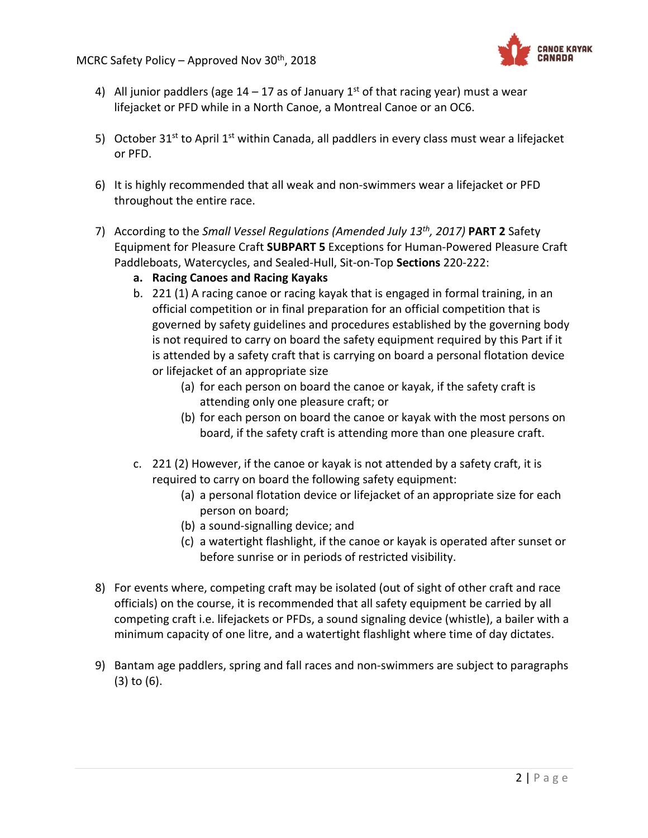

- 4) All junior paddlers (age  $14 17$  as of January  $1<sup>st</sup>$  of that racing year) must a wear lifejacket or PFD while in a North Canoe, a Montreal Canoe or an OC6.
- 5) October 31<sup>st</sup> to April 1<sup>st</sup> within Canada, all paddlers in every class must wear a lifejacket or PFD.
- 6) It is highly recommended that all weak and non‐swimmers wear a lifejacket or PFD throughout the entire race.
- 7) According to the *Small Vessel Regulations (Amended July 13th, 2017)* **PART 2** Safety Equipment for Pleasure Craft **SUBPART 5** Exceptions for Human‐Powered Pleasure Craft Paddleboats, Watercycles, and Sealed‐Hull, Sit‐on‐Top **Sections** 220‐222:
	- **a. Racing Canoes and Racing Kayaks**
	- b. 221 (1) A racing canoe or racing kayak that is engaged in formal training, in an official competition or in final preparation for an official competition that is governed by safety guidelines and procedures established by the governing body is not required to carry on board the safety equipment required by this Part if it is attended by a safety craft that is carrying on board a personal flotation device or lifejacket of an appropriate size
		- (a) for each person on board the canoe or kayak, if the safety craft is attending only one pleasure craft; or
		- (b) for each person on board the canoe or kayak with the most persons on board, if the safety craft is attending more than one pleasure craft.
	- c. 221 (2) However, if the canoe or kayak is not attended by a safety craft, it is required to carry on board the following safety equipment:
		- (a) a personal flotation device or lifejacket of an appropriate size for each person on board;
		- (b) a sound‐signalling device; and
		- (c) a watertight flashlight, if the canoe or kayak is operated after sunset or before sunrise or in periods of restricted visibility.
- 8) For events where, competing craft may be isolated (out of sight of other craft and race officials) on the course, it is recommended that all safety equipment be carried by all competing craft i.e. lifejackets or PFDs, a sound signaling device (whistle), a bailer with a minimum capacity of one litre, and a watertight flashlight where time of day dictates.
- 9) Bantam age paddlers, spring and fall races and non‐swimmers are subject to paragraphs (3) to (6).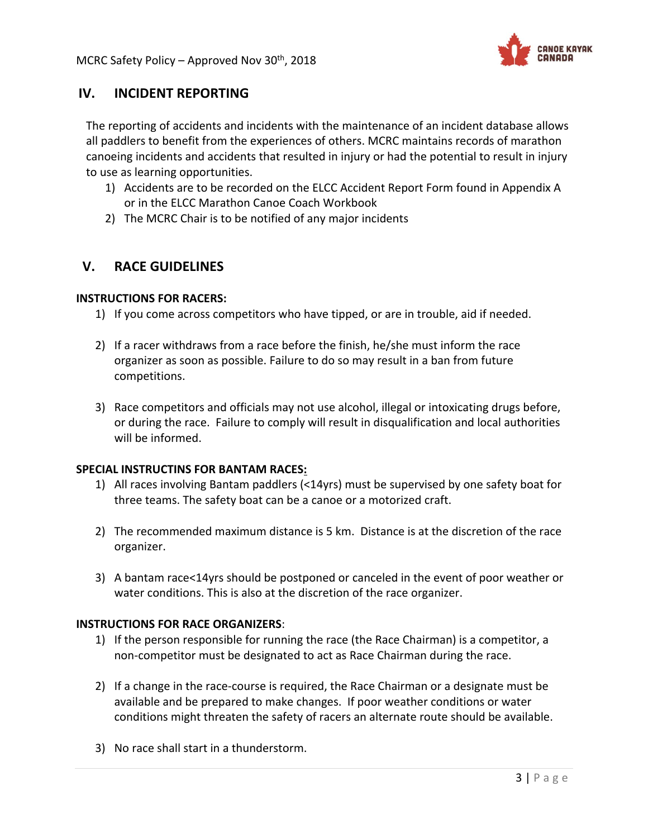

# **IV. INCIDENT REPORTING**

The reporting of accidents and incidents with the maintenance of an incident database allows all paddlers to benefit from the experiences of others. MCRC maintains records of marathon canoeing incidents and accidents that resulted in injury or had the potential to result in injury to use as learning opportunities.

- 1) Accidents are to be recorded on the ELCC Accident Report Form found in Appendix A or in the ELCC Marathon Canoe Coach Workbook
- 2) The MCRC Chair is to be notified of any major incidents

## **V. RACE GUIDELINES**

#### **INSTRUCTIONS FOR RACERS:**

- 1) If you come across competitors who have tipped, or are in trouble, aid if needed.
- 2) If a racer withdraws from a race before the finish, he/she must inform the race organizer as soon as possible. Failure to do so may result in a ban from future competitions.
- 3) Race competitors and officials may not use alcohol, illegal or intoxicating drugs before, or during the race. Failure to comply will result in disqualification and local authorities will be informed.

### **SPECIAL INSTRUCTINS FOR BANTAM RACES:**

- 1) All races involving Bantam paddlers (<14yrs) must be supervised by one safety boat for three teams. The safety boat can be a canoe or a motorized craft.
- 2) The recommended maximum distance is 5 km. Distance is at the discretion of the race organizer.
- 3) A bantam race<14yrs should be postponed or canceled in the event of poor weather or water conditions. This is also at the discretion of the race organizer.

### **INSTRUCTIONS FOR RACE ORGANIZERS**:

- 1) If the person responsible for running the race (the Race Chairman) is a competitor, a non‐competitor must be designated to act as Race Chairman during the race.
- 2) If a change in the race-course is required, the Race Chairman or a designate must be available and be prepared to make changes. If poor weather conditions or water conditions might threaten the safety of racers an alternate route should be available.
- 3) No race shall start in a thunderstorm.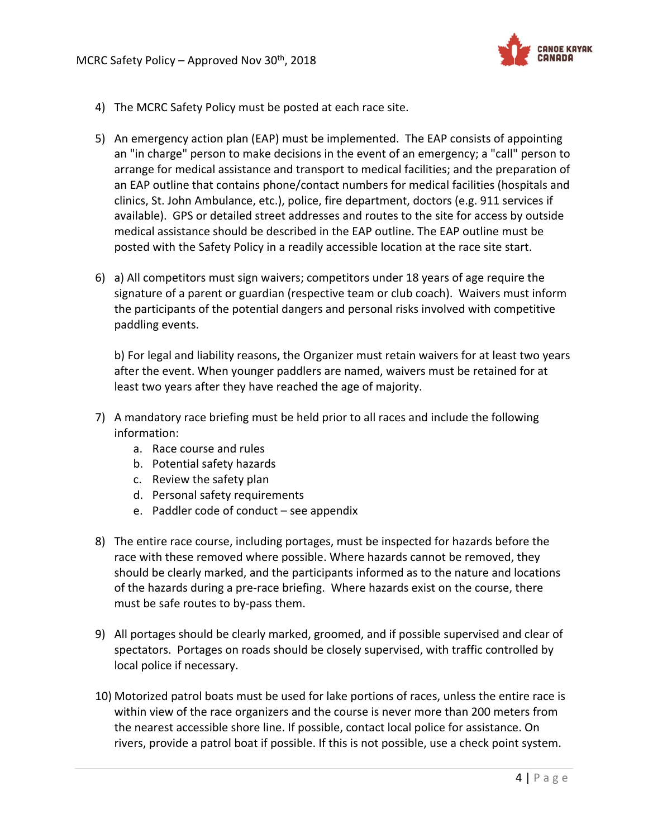

- 4) The MCRC Safety Policy must be posted at each race site.
- 5) An emergency action plan (EAP) must be implemented. The EAP consists of appointing an "in charge" person to make decisions in the event of an emergency; a "call" person to arrange for medical assistance and transport to medical facilities; and the preparation of an EAP outline that contains phone/contact numbers for medical facilities (hospitals and clinics, St. John Ambulance, etc.), police, fire department, doctors (e.g. 911 services if available). GPS or detailed street addresses and routes to the site for access by outside medical assistance should be described in the EAP outline. The EAP outline must be posted with the Safety Policy in a readily accessible location at the race site start.
- 6) a) All competitors must sign waivers; competitors under 18 years of age require the signature of a parent or guardian (respective team or club coach). Waivers must inform the participants of the potential dangers and personal risks involved with competitive paddling events.

b) For legal and liability reasons, the Organizer must retain waivers for at least two years after the event. When younger paddlers are named, waivers must be retained for at least two years after they have reached the age of majority.

- 7) A mandatory race briefing must be held prior to all races and include the following information:
	- a. Race course and rules
	- b. Potential safety hazards
	- c. Review the safety plan
	- d. Personal safety requirements
	- e. Paddler code of conduct see appendix
- 8) The entire race course, including portages, must be inspected for hazards before the race with these removed where possible. Where hazards cannot be removed, they should be clearly marked, and the participants informed as to the nature and locations of the hazards during a pre‐race briefing. Where hazards exist on the course, there must be safe routes to by‐pass them.
- 9) All portages should be clearly marked, groomed, and if possible supervised and clear of spectators. Portages on roads should be closely supervised, with traffic controlled by local police if necessary.
- 10) Motorized patrol boats must be used for lake portions of races, unless the entire race is within view of the race organizers and the course is never more than 200 meters from the nearest accessible shore line. If possible, contact local police for assistance. On rivers, provide a patrol boat if possible. If this is not possible, use a check point system.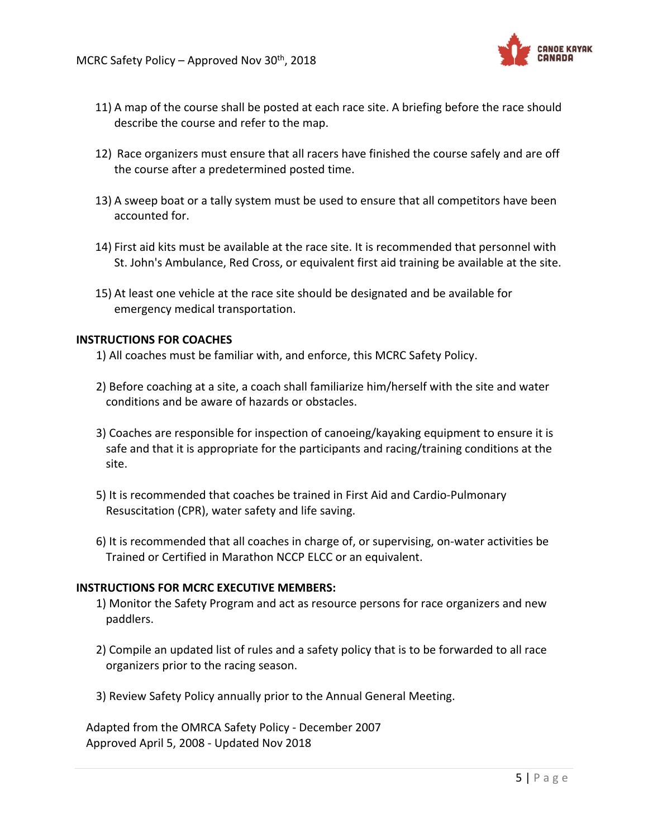

- 11) A map of the course shall be posted at each race site. A briefing before the race should describe the course and refer to the map.
- 12) Race organizers must ensure that all racers have finished the course safely and are off the course after a predetermined posted time.
- 13) A sweep boat or a tally system must be used to ensure that all competitors have been accounted for.
- 14) First aid kits must be available at the race site. It is recommended that personnel with St. John's Ambulance, Red Cross, or equivalent first aid training be available at the site.
- 15) At least one vehicle at the race site should be designated and be available for emergency medical transportation.

#### **INSTRUCTIONS FOR COACHES**

- 1) All coaches must be familiar with, and enforce, this MCRC Safety Policy.
- 2) Before coaching at a site, a coach shall familiarize him/herself with the site and water conditions and be aware of hazards or obstacles.
- 3) Coaches are responsible for inspection of canoeing/kayaking equipment to ensure it is safe and that it is appropriate for the participants and racing/training conditions at the site.
- 5) It is recommended that coaches be trained in First Aid and Cardio‐Pulmonary Resuscitation (CPR), water safety and life saving.
- 6) It is recommended that all coaches in charge of, or supervising, on‐water activities be Trained or Certified in Marathon NCCP ELCC or an equivalent.

#### **INSTRUCTIONS FOR MCRC EXECUTIVE MEMBERS:**

- 1) Monitor the Safety Program and act as resource persons for race organizers and new paddlers.
- 2) Compile an updated list of rules and a safety policy that is to be forwarded to all race organizers prior to the racing season.
- 3) Review Safety Policy annually prior to the Annual General Meeting.

Adapted from the OMRCA Safety Policy ‐ December 2007 Approved April 5, 2008 ‐ Updated Nov 2018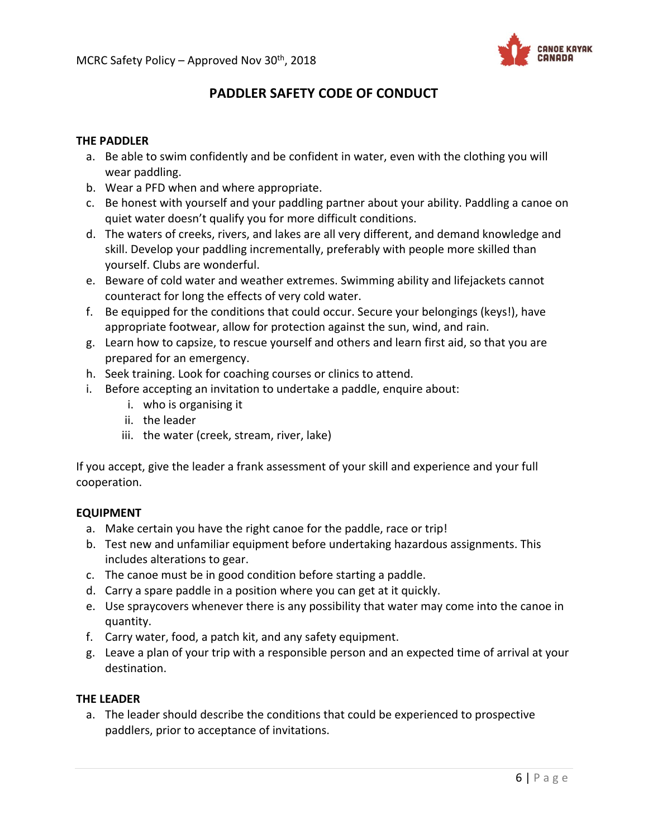

# **PADDLER SAFETY CODE OF CONDUCT**

#### **THE PADDLER**

- a. Be able to swim confidently and be confident in water, even with the clothing you will wear paddling.
- b. Wear a PFD when and where appropriate.
- c. Be honest with yourself and your paddling partner about your ability. Paddling a canoe on quiet water doesn't qualify you for more difficult conditions.
- d. The waters of creeks, rivers, and lakes are all very different, and demand knowledge and skill. Develop your paddling incrementally, preferably with people more skilled than yourself. Clubs are wonderful.
- e. Beware of cold water and weather extremes. Swimming ability and lifejackets cannot counteract for long the effects of very cold water.
- f. Be equipped for the conditions that could occur. Secure your belongings (keys!), have appropriate footwear, allow for protection against the sun, wind, and rain.
- g. Learn how to capsize, to rescue yourself and others and learn first aid, so that you are prepared for an emergency.
- h. Seek training. Look for coaching courses or clinics to attend.
- i. Before accepting an invitation to undertake a paddle, enquire about:
	- i. who is organising it
	- ii. the leader
	- iii. the water (creek, stream, river, lake)

If you accept, give the leader a frank assessment of your skill and experience and your full cooperation.

#### **EQUIPMENT**

- a. Make certain you have the right canoe for the paddle, race or trip!
- b. Test new and unfamiliar equipment before undertaking hazardous assignments. This includes alterations to gear.
- c. The canoe must be in good condition before starting a paddle.
- d. Carry a spare paddle in a position where you can get at it quickly.
- e. Use spraycovers whenever there is any possibility that water may come into the canoe in quantity.
- f. Carry water, food, a patch kit, and any safety equipment.
- g. Leave a plan of your trip with a responsible person and an expected time of arrival at your destination.

#### **THE LEADER**

a. The leader should describe the conditions that could be experienced to prospective paddlers, prior to acceptance of invitations.